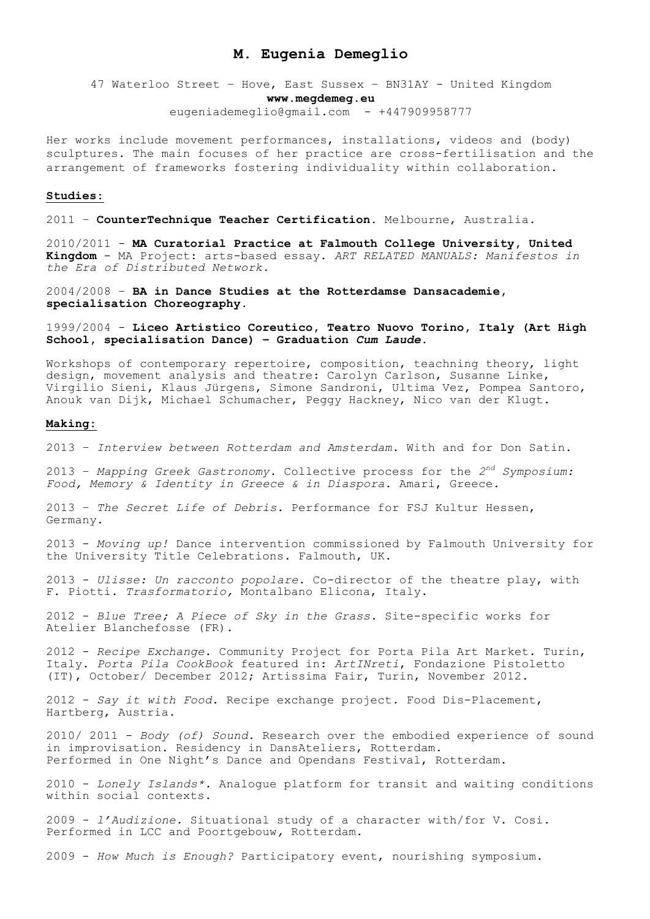# **M. Eugenia Demeglio**

47 Waterloo Street – Hove, East Sussex – BN31AY - United Kingdom **www.megdemeg.eu** eugeniademeglio@gmail.com - +447909958777

Her works include movement performances, installations, videos and (body) sculptures. The main focuses of her practice are cross-fertilisation and the arrangement of frameworks fostering individuality within collaboration.

## **Studies:**

2011 – **CounterTechnique Teacher Certification**. Melbourne, Australia.

2010/2011 - **MA Curatorial Practice at Falmouth College University, United Kingdom** - MA Project: arts-based essay. *ART RELATED MANUALS: Manifestos in the Era of Distributed Network.*

2004/2008 – **BA in Dance Studies at the Rotterdamse Dansacademie, specialisation Choreography**.

1999/2004 - **Liceo Artistico Coreutico, Teatro Nuovo Torino, Italy (Art High School, specialisation Dance) – Graduation** *Cum Laude***.**

Workshops of contemporary repertoire, composition, teachning theory, light design, movement analysis and theatre: Carolyn Carlson, Susanne Linke, Virgilio Sieni, Klaus Jürgens, Simone Sandroni, Ultima Vez, Pompea Santoro, Anouk van Dijk, Michael Schumacher, Peggy Hackney, Nico van der Klugt.

#### **Making:**

2013 – *Interview between Rotterdam and Amsterdam.* With and for Don Satin.

2013 – *Mapping Greek Gastronomy.* Collective process for the *2nd Symposium: Food, Memory & Identity in Greece & in Diaspora.* Amari, Greece.

2013 – *The Secret Life of Debris.* Performance for FSJ Kultur Hessen, Germany.

2013 - *Moving up!* Dance intervention commissioned by Falmouth University for the University Title Celebrations. Falmouth, UK.

2013 - *Ulisse: Un racconto popolare*. Co-director of the theatre play, with F. Piotti. *Trasformatorio,* Montalbano Elicona, Italy.

2012 - *Blue Tree; A Piece of Sky in the Grass.* Site-specific works for Atelier Blanchefosse (FR).

2012 - *Recipe Exchange*. Community Project for Porta Pila Art Market. Turin, Italy. *Porta Pila CookBook* featured in: *ArtINreti*, Fondazione Pistoletto (IT), October/ December 2012; Artissima Fair, Turin, November 2012.

2012 - *Say it with Food*. Recipe exchange project. Food Dis-Placement, Hartberg, Austria.

2010/ 2011 - *Body (of) Sound*. Research over the embodied experience of sound in improvisation. Residency in DansAteliers, Rotterdam. Performed in One Night's Dance and Opendans Festival, Rotterdam.

2010 - *Lonely Islands\*.* Analogue platform for transit and waiting conditions within social contexts.

2009 - *l'Audizione.* Situational study of a character with/for V. Cosi*.*  Performed in LCC and Poortgebouw*,* Rotterdam.

2009 - *How Much is Enough?* Participatory event, nourishing symposium.